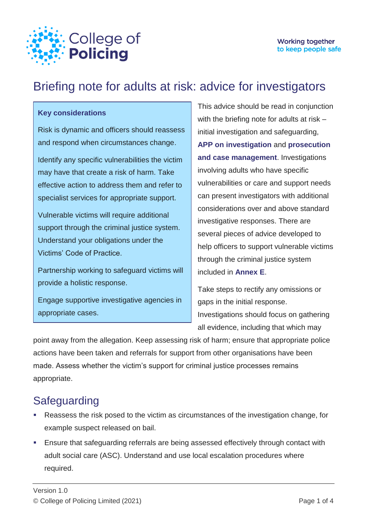

# Briefing note for adults at risk: advice for investigators

#### **Key considerations**

Risk is dynamic and officers should reassess and respond when circumstances change.

Identify any specific vulnerabilities the victim may have that create a risk of harm. Take effective action to address them and refer to specialist services for appropriate support.

Vulnerable victims will require additional support through the criminal justice system. Understand your obligations under the Victims' Code of Practice.

Partnership working to safeguard victims will provide a holistic response.

Engage supportive investigative agencies in appropriate cases.

This advice should be read in conjunction with the briefing note for adults at risk – initial investigation and safeguarding, **[APP on investigation](https://www.app.college.police.uk/app-content/investigations/?s=)** and **[prosecution](https://www.app.college.police.uk/app-content/prosecution-and-case-management/)  [and case management](https://www.app.college.police.uk/app-content/prosecution-and-case-management/)**. Investigations involving adults who have specific vulnerabilities or care and support needs can present investigators with additional considerations over and above standard investigative responses. There are several pieces of advice developed to help officers to support vulnerable victims through the criminal justice system included in **[Annex E](https://library.college.police.uk/docs/college-of-policing/Adults-At-Risk-Annexes-2021.pdf#page=25)**.

Take steps to rectify any omissions or gaps in the initial response. Investigations should focus on gathering all evidence, including that which may

point away from the allegation. Keep assessing risk of harm; ensure that appropriate police actions have been taken and referrals for support from other organisations have been made. Assess whether the victim's support for criminal justice processes remains appropriate.

## **Safeguarding**

- Reassess the risk posed to the victim as circumstances of the investigation change, for example suspect released on bail.
- Ensure that safeguarding referrals are being assessed effectively through contact with adult social care (ASC). Understand and use local escalation procedures where required.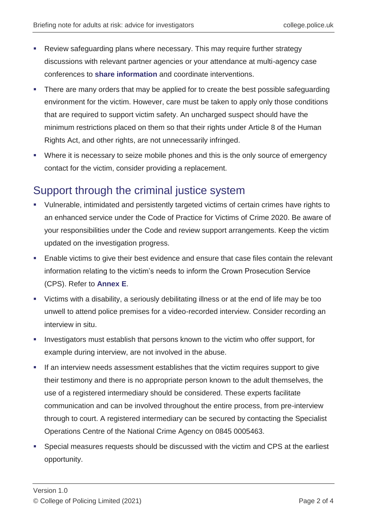- Review safeguarding plans where necessary. This may require further strategy discussions with relevant partner agencies or your attendance at multi-agency case conferences to **[share information](https://www.app.college.police.uk/app-content/information-management/?s=)** and coordinate interventions.
- There are many orders that may be applied for to create the best possible safeguarding environment for the victim. However, care must be taken to apply only those conditions that are required to support victim safety. An uncharged suspect should have the minimum restrictions placed on them so that their rights under Article 8 of the Human Rights Act, and other rights, are not unnecessarily infringed.
- Where it is necessary to seize mobile phones and this is the only source of emergency contact for the victim, consider providing a replacement.

### Support through the criminal justice system

- Vulnerable, intimidated and persistently targeted victims of certain crimes have rights to an enhanced service under the Code of Practice for Victims of Crime 2020. Be aware of your responsibilities under the Code and review support arrangements. Keep the victim updated on the investigation progress.
- Enable victims to give their best evidence and ensure that case files contain the relevant information relating to the victim's needs to inform the Crown Prosecution Service (CPS). Refer to **[Annex E](https://library.college.police.uk/docs/college-of-policing/Adults-At-Risk-Annexes-2021.pdf#page=25)**.
- Victims with a disability, a seriously debilitating illness or at the end of life may be too unwell to attend police premises for a video-recorded interview. Consider recording an interview in situ.
- Investigators must establish that persons known to the victim who offer support, for example during interview, are not involved in the abuse.
- If an interview needs assessment establishes that the victim requires support to give their testimony and there is no appropriate person known to the adult themselves, the use of a registered intermediary should be considered. These experts facilitate communication and can be involved throughout the entire process, from pre-interview through to court. A registered intermediary can be secured by contacting the Specialist Operations Centre of the National Crime Agency on 0845 0005463.
- Special measures requests should be discussed with the victim and CPS at the earliest opportunity.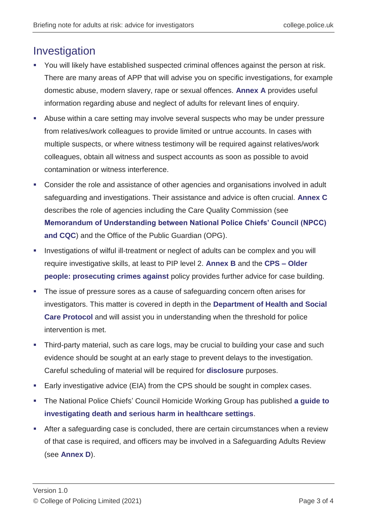### Investigation

- You will likely have established suspected criminal offences against the person at risk. There are many areas of APP that will advise you on specific investigations, for example domestic abuse, modern slavery, rape or sexual offences. **[Annex A](https://library.college.police.uk/docs/college-of-policing/Adults-At-Risk-Annexes-2021.pdf)** provides useful information regarding abuse and neglect of adults for relevant lines of enquiry.
- Abuse within a care setting may involve several suspects who may be under pressure from relatives/work colleagues to provide limited or untrue accounts. In cases with multiple suspects, or where witness testimony will be required against relatives/work colleagues, obtain all witness and suspect accounts as soon as possible to avoid contamination or witness interference.
- Consider the role and assistance of other agencies and organisations involved in adult safeguarding and investigations. Their assistance and advice is often crucial. **[Annex C](https://library.college.police.uk/docs/college-of-policing/Adults-At-Risk-Annexes-2021.pdf#page=18)** describes the role of agencies including the Care Quality Commission (see **[Memorandum of Understanding between National Police Chiefs' Council \(NPCC\)](https://www.cqc.org.uk/sites/default/files/20191017_%20mou_cqc_npcc.pdf)  [and CQC](https://www.cqc.org.uk/sites/default/files/20191017_%20mou_cqc_npcc.pdf)**) and the Office of the Public Guardian (OPG).
- Investigations of wilful ill-treatment or neglect of adults can be complex and you will require investigative skills, at least to PIP level 2. **[Annex B](https://library.college.police.uk/docs/college-of-policing/Adults-At-Risk-Annexes-2021.pdf#page=15)** and the **[CPS –](https://www.cps.gov.uk/legal-guidance/older-people-prosecuting-crimes-against) Older [people: prosecuting crimes against](https://www.cps.gov.uk/legal-guidance/older-people-prosecuting-crimes-against)** policy provides further advice for case building.
- The issue of pressure sores as a cause of safeguarding concern often arises for investigators. This matter is covered in depth in the **[Department of Health and Social](https://assets.publishing.service.gov.uk/government/uploads/system/uploads/attachment_data/file/756243/safeguarding-adults-protocol-pressure-ulcers.pdf)  [Care Protocol](https://assets.publishing.service.gov.uk/government/uploads/system/uploads/attachment_data/file/756243/safeguarding-adults-protocol-pressure-ulcers.pdf)** and will assist you in understanding when the threshold for police intervention is met.
- Third-party material, such as care logs, may be crucial to building your case and such evidence should be sought at an early stage to prevent delays to the investigation. Careful scheduling of material will be required for **[disclosure](https://www.app.college.police.uk/app-content/prosecution-and-case-management/charging-and-case-preparation/?highlight=disclosure?s=disclosure#disclosure)** purposes.
- Early investigative advice (EIA) from the CPS should be sought in complex cases.
- The National Police Chiefs' Council Homicide Working Group has published **[a guide to](http://library.college.police.uk/docs/NPCC/2015-SIO-Guide-Investigating-Deaths-and-Serious-Harm-in-Healthcare-Settings-v10-6.pdf)  [investigating death and serious harm in healthcare settings](http://library.college.police.uk/docs/NPCC/2015-SIO-Guide-Investigating-Deaths-and-Serious-Harm-in-Healthcare-Settings-v10-6.pdf)**.
- After a safeguarding case is concluded, there are certain circumstances when a review of that case is required, and officers may be involved in a Safeguarding Adults Review (see **[Annex D](https://library.college.police.uk/docs/college-of-policing/Adults-At-Risk-Annexes-2021.pdf#page=24)**).